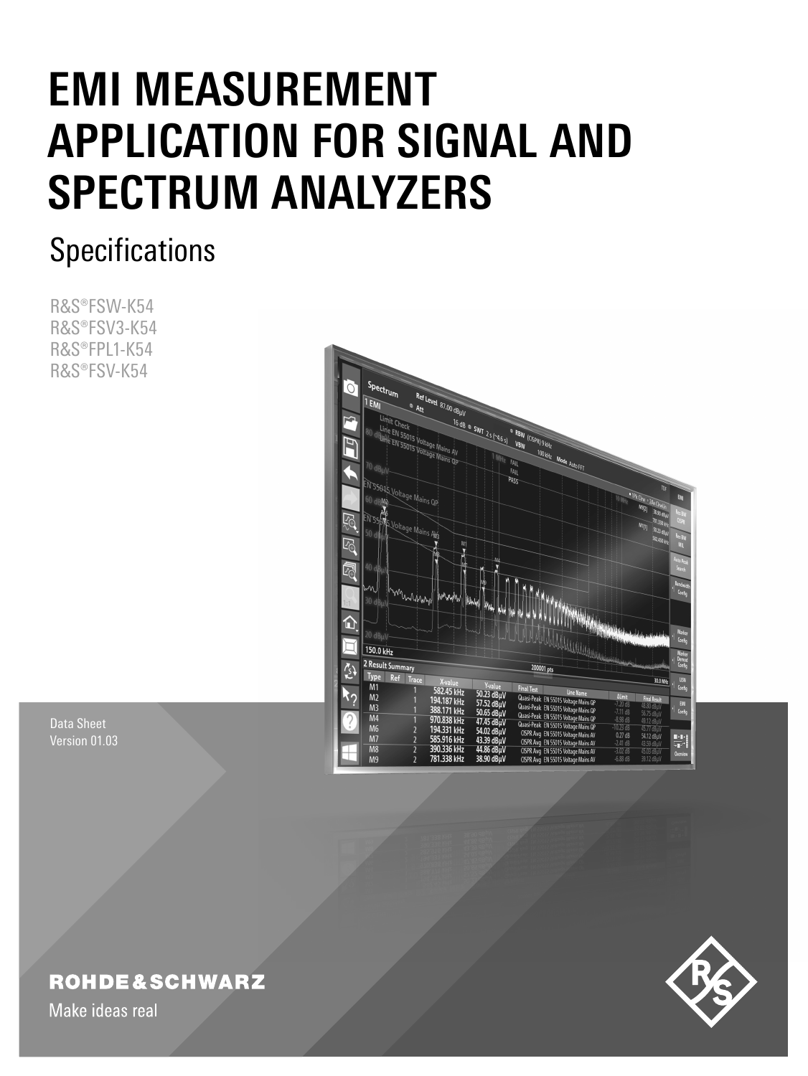# **EMI MEASUREMENT APPLICATION FOR SIGNAL AND SPECTRUM ANALYZERS**

## **Specifications**

R&S®FSW-K54 R&S®FSV3-K54 R&S®FPL1-K54 R&S®FSV-K54



Data Sheet Version 01.03

### **ROHDE&SCHWARZ**

Make ideas real

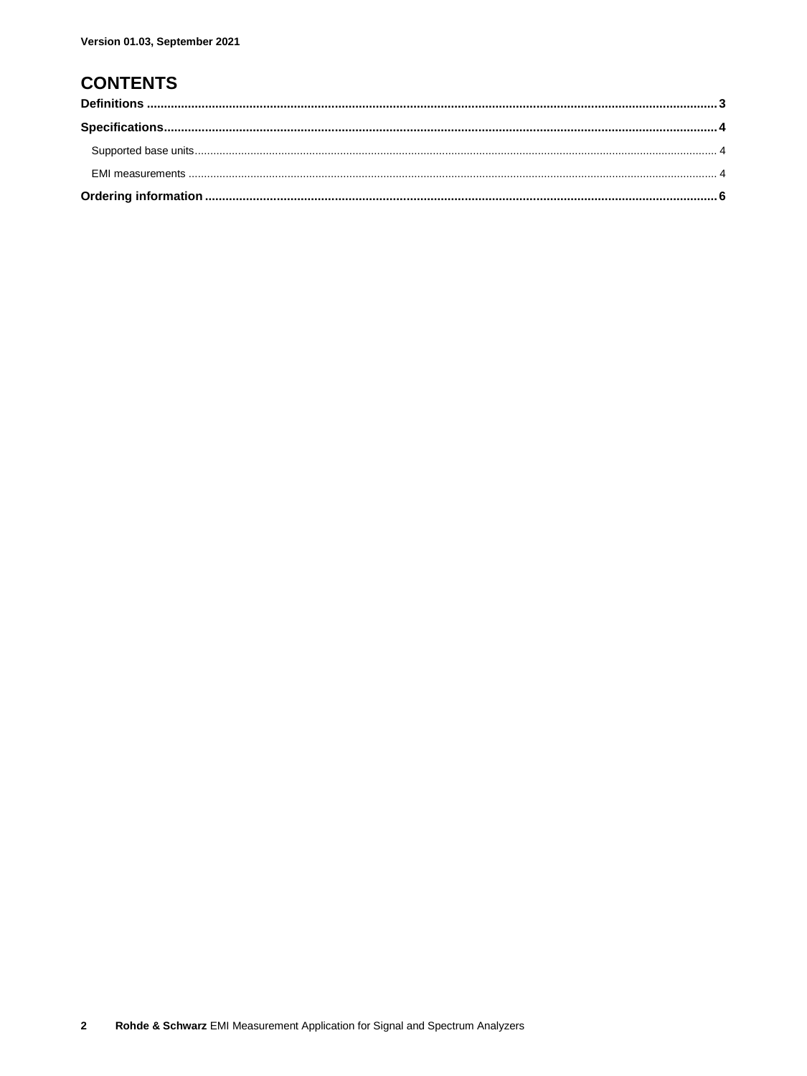### **CONTENTS**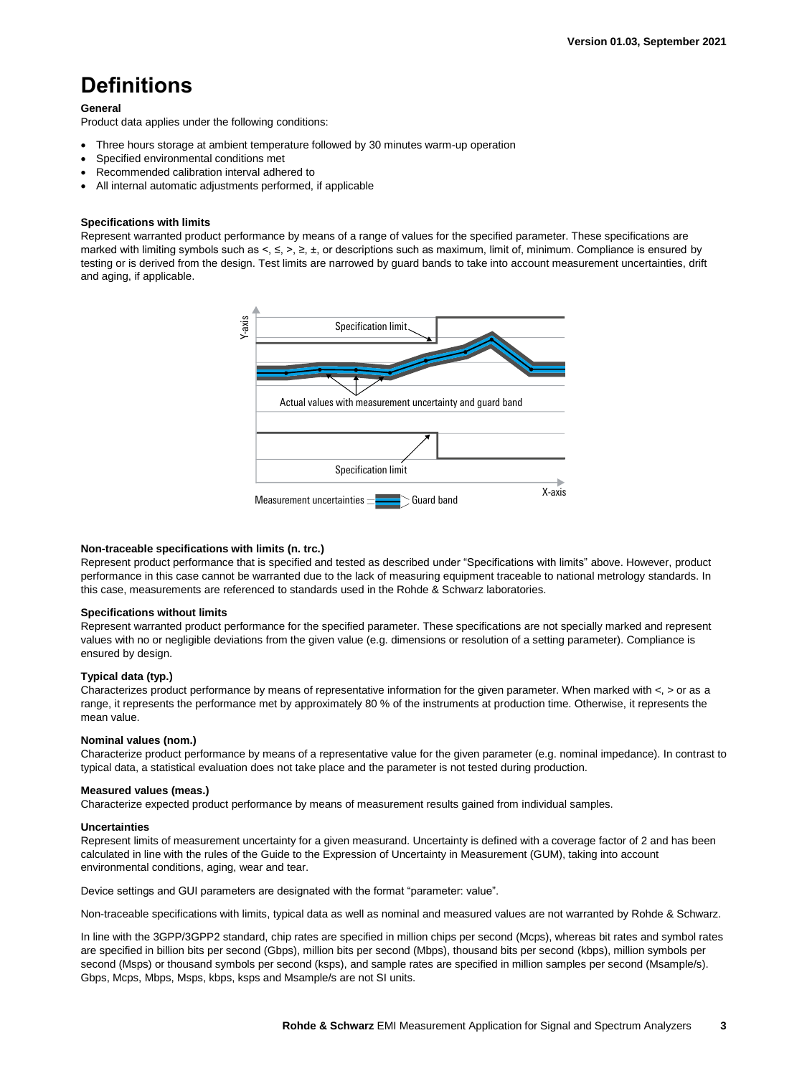### <span id="page-2-0"></span>**Definitions**

#### **General**

Product data applies under the following conditions:

- Three hours storage at ambient temperature followed by 30 minutes warm-up operation
- Specified environmental conditions met
- Recommended calibration interval adhered to
- All internal automatic adjustments performed, if applicable

### **Specifications with limits**

Represent warranted product performance by means of a range of values for the specified parameter. These specifications are marked with limiting symbols such as <, ≤, >, ≥, ±, or descriptions such as maximum, limit of, minimum. Compliance is ensured by testing or is derived from the design. Test limits are narrowed by guard bands to take into account measurement uncertainties, drift and aging, if applicable.



### **Non-traceable specifications with limits (n. trc.)**

Represent product performance that is specified and tested as described under "Specifications with limits" above. However, product performance in this case cannot be warranted due to the lack of measuring equipment traceable to national metrology standards. In this case, measurements are referenced to standards used in the Rohde & Schwarz laboratories.

#### **Specifications without limits**

Represent warranted product performance for the specified parameter. These specifications are not specially marked and represent values with no or negligible deviations from the given value (e.g. dimensions or resolution of a setting parameter). Compliance is ensured by design.

### **Typical data (typ.)**

Characterizes product performance by means of representative information for the given parameter. When marked with  $\lt$ ,  $>$  or as a range, it represents the performance met by approximately 80 % of the instruments at production time. Otherwise, it represents the mean value.

#### **Nominal values (nom.)**

Characterize product performance by means of a representative value for the given parameter (e.g. nominal impedance). In contrast to typical data, a statistical evaluation does not take place and the parameter is not tested during production.

#### **Measured values (meas.)**

Characterize expected product performance by means of measurement results gained from individual samples.

#### **Uncertainties**

Represent limits of measurement uncertainty for a given measurand. Uncertainty is defined with a coverage factor of 2 and has been calculated in line with the rules of the Guide to the Expression of Uncertainty in Measurement (GUM), taking into account environmental conditions, aging, wear and tear.

Device settings and GUI parameters are designated with the format "parameter: value".

Non-traceable specifications with limits, typical data as well as nominal and measured values are not warranted by Rohde & Schwarz.

In line with the 3GPP/3GPP2 standard, chip rates are specified in million chips per second (Mcps), whereas bit rates and symbol rates are specified in billion bits per second (Gbps), million bits per second (Mbps), thousand bits per second (kbps), million symbols per second (Msps) or thousand symbols per second (ksps), and sample rates are specified in million samples per second (Msample/s). Gbps, Mcps, Mbps, Msps, kbps, ksps and Msample/s are not SI units.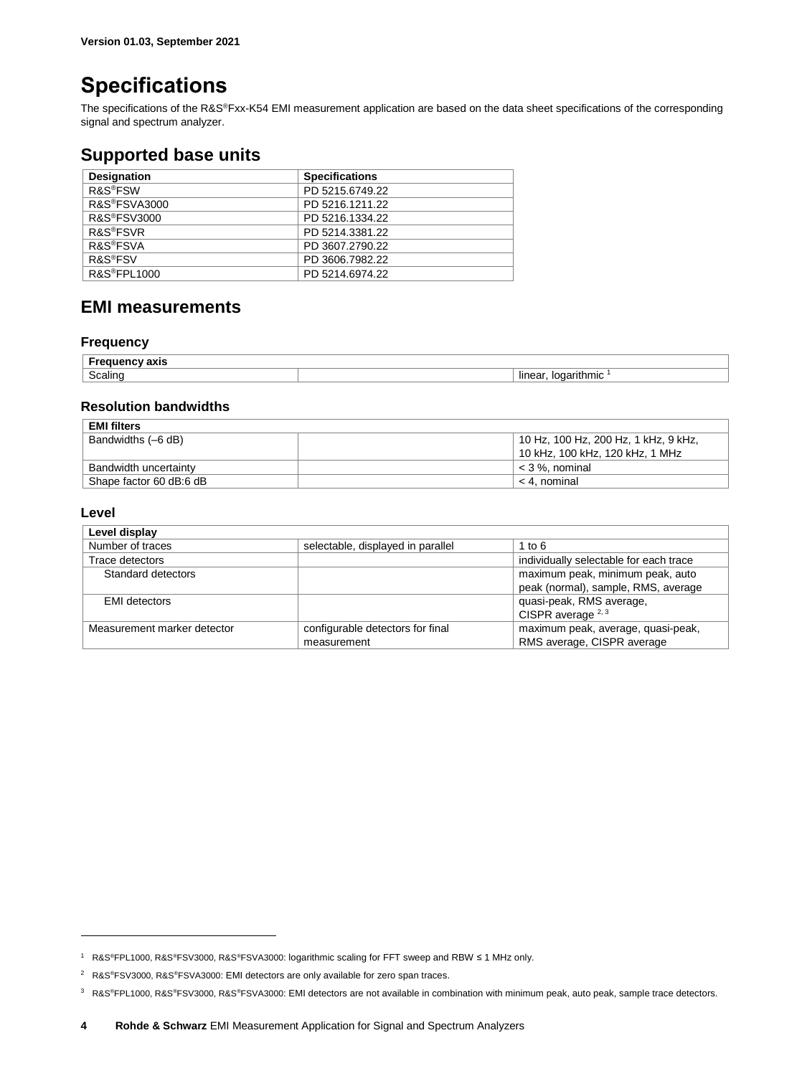### <span id="page-3-0"></span>**Specifications**

The specifications of the R&S®Fxx-K54 EMI measurement application are based on the data sheet specifications of the corresponding signal and spectrum analyzer.

### <span id="page-3-1"></span>**Supported base units**

| <b>Designation</b>        | <b>Specifications</b> |
|---------------------------|-----------------------|
| R&S <sup>®</sup> FSW      | PD 5215.6749.22       |
| R&S <sup>®</sup> FSVA3000 | PD 5216.1211.22       |
| <b>R&amp;S®FSV3000</b>    | PD 5216.1334.22       |
| R&S <sup>®</sup> FSVR     | PD 5214.3381.22       |
| <b>R&amp;S®FSVA</b>       | PD 3607.2790.22       |
| R&S <sup>®</sup> FSV      | PD 3606.7982.22       |
| R&S <sup>®</sup> FPL1000  | PD 5214.6974.22       |

### <span id="page-3-2"></span>**EMI measurements**

### **Frequency**

| 18 I.I          |                                    |
|-----------------|------------------------------------|
| -<br>. .<br>ווו | .<br>lır<br>$\mathbf{r}$<br>н<br>. |

### **Resolution bandwidths**

| <b>EMI filters</b>      |                                      |
|-------------------------|--------------------------------------|
| Bandwidths (-6 dB)      | 10 Hz, 100 Hz, 200 Hz, 1 kHz, 9 kHz, |
|                         | 10 kHz, 100 kHz, 120 kHz, 1 MHz      |
| Bandwidth uncertainty   | $<$ 3 %. nominal                     |
| Shape factor 60 dB:6 dB | < 4. nominal                         |

### **Level**

 $\overline{a}$ 

| Level display               |                                                 |                                                                         |
|-----------------------------|-------------------------------------------------|-------------------------------------------------------------------------|
| Number of traces            | selectable, displayed in parallel               | 1 to $6$                                                                |
| Trace detectors             |                                                 | individually selectable for each trace                                  |
| Standard detectors          |                                                 | maximum peak, minimum peak, auto<br>peak (normal), sample, RMS, average |
| <b>EMI</b> detectors        |                                                 | quasi-peak, RMS average,<br>CISPR average <sup>2, 3</sup>               |
| Measurement marker detector | configurable detectors for final<br>measurement | maximum peak, average, quasi-peak,<br>RMS average, CISPR average        |

<sup>1</sup> R&S®FPL1000, R&S®FSV3000, R&S®FSVA3000: logarithmic scaling for FFT sweep and RBW ≤ 1 MHz only.

<sup>&</sup>lt;sup>2</sup> R&S®FSV3000, R&S®FSVA3000: EMI detectors are only available for zero span traces.

<sup>3</sup> R&S®FPL1000, R&S®FSV3000, R&S®FSVA3000: EMI detectors are not available in combination with minimum peak, auto peak, sample trace detectors.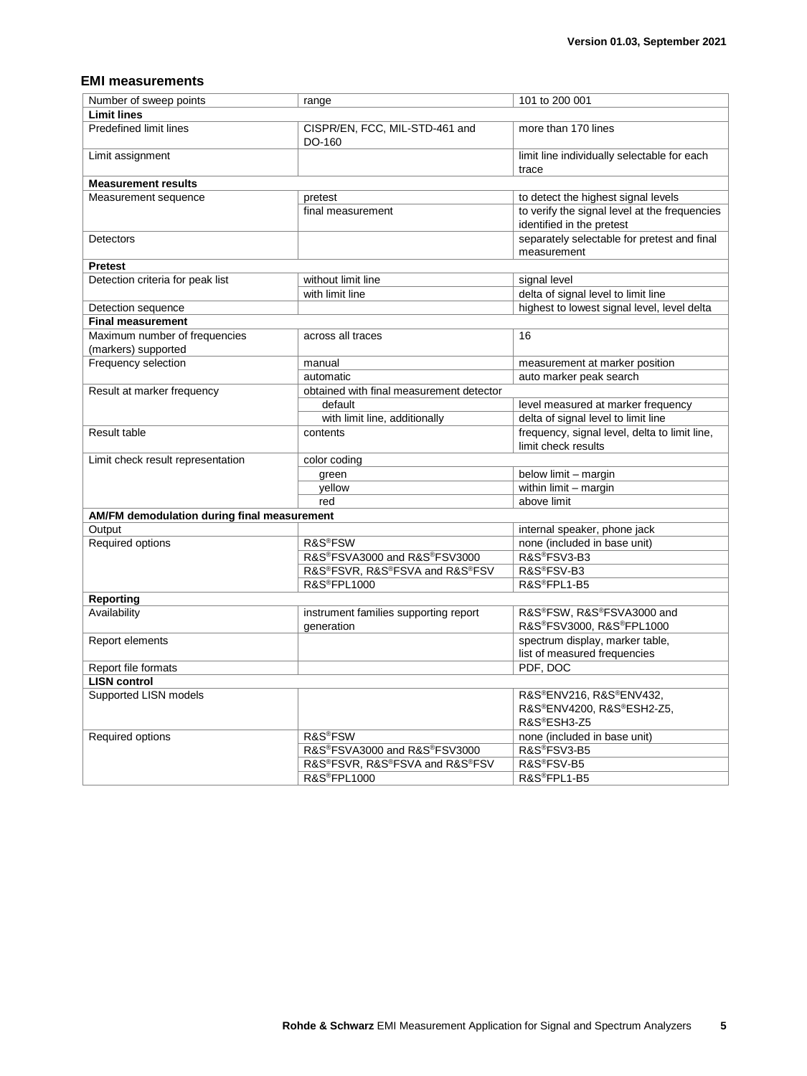### **EMI measurements**

| Number of sweep points                               | range                                               | 101 to 200 001                                                             |  |
|------------------------------------------------------|-----------------------------------------------------|----------------------------------------------------------------------------|--|
| <b>Limit lines</b>                                   |                                                     |                                                                            |  |
| Predefined limit lines                               | CISPR/EN, FCC, MIL-STD-461 and<br>DO-160            | more than 170 lines                                                        |  |
| Limit assignment                                     |                                                     | limit line individually selectable for each<br>trace                       |  |
| <b>Measurement results</b>                           |                                                     |                                                                            |  |
| Measurement sequence                                 | pretest                                             | to detect the highest signal levels                                        |  |
|                                                      | final measurement                                   | to verify the signal level at the frequencies<br>identified in the pretest |  |
| Detectors                                            |                                                     | separately selectable for pretest and final<br>measurement                 |  |
| <b>Pretest</b>                                       |                                                     |                                                                            |  |
| Detection criteria for peak list                     | without limit line                                  | signal level                                                               |  |
|                                                      | with limit line                                     | delta of signal level to limit line                                        |  |
| Detection sequence                                   |                                                     | highest to lowest signal level, level delta                                |  |
| <b>Final measurement</b>                             |                                                     |                                                                            |  |
| Maximum number of frequencies<br>(markers) supported | across all traces                                   | 16                                                                         |  |
| Frequency selection                                  | manual                                              | measurement at marker position                                             |  |
|                                                      | automatic                                           | auto marker peak search                                                    |  |
| Result at marker frequency                           | obtained with final measurement detector            |                                                                            |  |
|                                                      | default                                             | level measured at marker frequency                                         |  |
|                                                      | with limit line, additionally                       | delta of signal level to limit line                                        |  |
| Result table                                         | contents                                            | frequency, signal level, delta to limit line,<br>limit check results       |  |
| Limit check result representation                    | color coding                                        |                                                                            |  |
|                                                      | green                                               | below limit - margin                                                       |  |
|                                                      | yellow                                              | within limit - margin                                                      |  |
|                                                      | red                                                 | above limit                                                                |  |
| AM/FM demodulation during final measurement          |                                                     |                                                                            |  |
| Output                                               |                                                     | internal speaker, phone jack                                               |  |
| Required options                                     | R&S <sup>®</sup> FSW                                | none (included in base unit)                                               |  |
|                                                      | R&S®FSVA3000 and R&S®FSV3000                        | R&S®FSV3-B3                                                                |  |
|                                                      | R&S®FSVR, R&S®FSVA and R&S®FSV                      | R&S®FSV-B3                                                                 |  |
|                                                      | <b>R&amp;S®FPL1000</b>                              | R&S®FPL1-B5                                                                |  |
| Reporting                                            |                                                     |                                                                            |  |
| Availability                                         | instrument families supporting report<br>generation | R&S®FSW, R&S®FSVA3000 and<br>R&S®FSV3000, R&S®FPL1000                      |  |
| Report elements                                      |                                                     | spectrum display, marker table,<br>list of measured frequencies            |  |
| Report file formats                                  |                                                     | PDF, DOC                                                                   |  |
| <b>LISN control</b>                                  |                                                     |                                                                            |  |
| Supported LISN models                                |                                                     | R&S®ENV216, R&S®ENV432,<br>R&S®ENV4200, R&S®ESH2-Z5,<br>R&S®ESH3-Z5        |  |
| Required options                                     | R&S <sup>®</sup> FSW                                | none (included in base unit)                                               |  |
|                                                      | R&S®FSVA3000 and R&S®FSV3000                        | R&S®FSV3-B5                                                                |  |
|                                                      | R&S®FSVR, R&S®FSVA and R&S®FSV                      | R&S®FSV-B5                                                                 |  |
|                                                      | R&S®FPL1000                                         | R&S®FPL1-B5                                                                |  |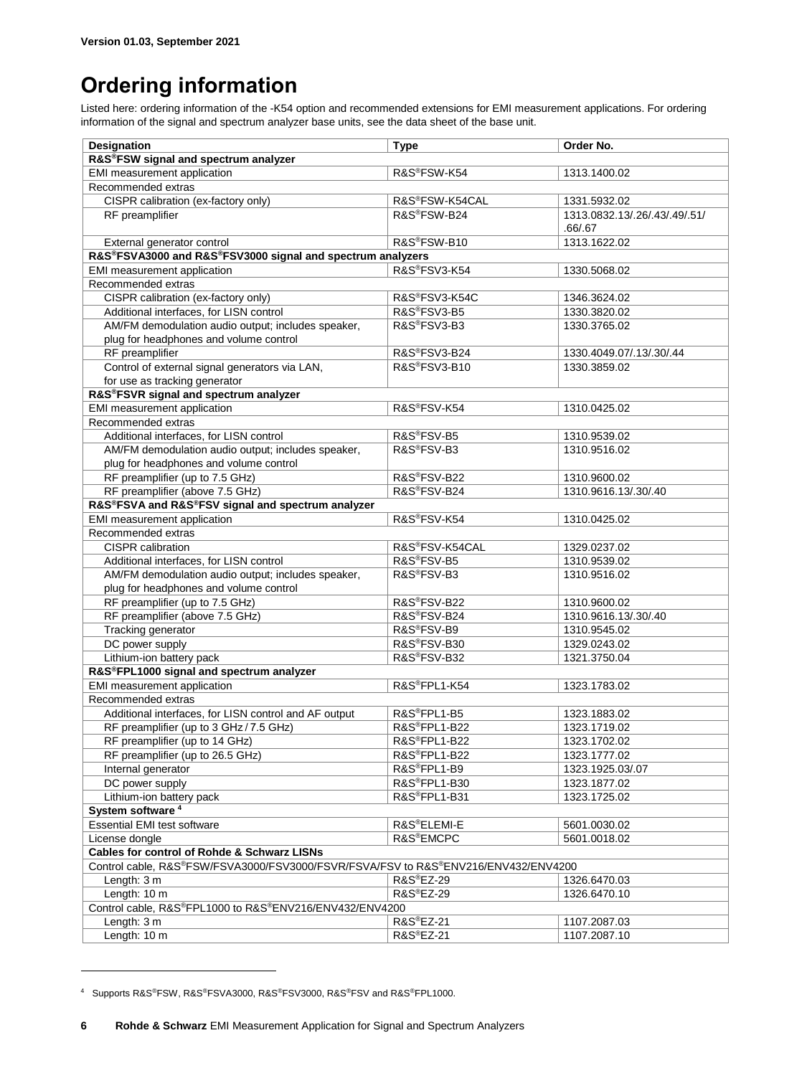## <span id="page-5-0"></span>**Ordering information**

Listed here: ordering information of the -K54 option and recommended extensions for EMI measurement applications. For ordering information of the signal and spectrum analyzer base units, see the data sheet of the base unit.

| <b>Designation</b>                                                                 | <b>Type</b>              | Order No.                     |
|------------------------------------------------------------------------------------|--------------------------|-------------------------------|
| R&S®FSW signal and spectrum analyzer                                               |                          |                               |
| EMI measurement application                                                        | R&S®FSW-K54              | 1313.1400.02                  |
| Recommended extras                                                                 |                          |                               |
| CISPR calibration (ex-factory only)                                                | R&S®FSW-K54CAL           | 1331.5932.02                  |
| RF preamplifier                                                                    | R&S®FSW-B24              | 1313.0832.13/.26/.43/.49/.51/ |
|                                                                                    |                          | .66/.67                       |
| External generator control                                                         | R&S <sup>®</sup> FSW-B10 | 1313.1622.02                  |
| R&S®FSVA3000 and R&S®FSV3000 signal and spectrum analyzers                         |                          |                               |
| EMI measurement application                                                        | R&S®FSV3-K54             | 1330.5068.02                  |
| Recommended extras                                                                 |                          |                               |
| CISPR calibration (ex-factory only)                                                | R&S®FSV3-K54C            | 1346.3624.02                  |
| Additional interfaces, for LISN control                                            | R&S®FSV3-B5              | 1330.3820.02                  |
| AM/FM demodulation audio output; includes speaker,                                 | R&S®FSV3-B3              | 1330.3765.02                  |
| plug for headphones and volume control                                             |                          |                               |
| RF preamplifier                                                                    | R&S®FSV3-B24             | 1330.4049.07/.13/.30/.44      |
| Control of external signal generators via LAN,                                     | R&S®FSV3-B10             | 1330.3859.02                  |
| for use as tracking generator                                                      |                          |                               |
| R&S®FSVR signal and spectrum analyzer                                              |                          |                               |
| EMI measurement application                                                        | R&S®FSV-K54              | 1310.0425.02                  |
| Recommended extras                                                                 |                          |                               |
| Additional interfaces, for LISN control                                            | R&S®FSV-B5               | 1310.9539.02                  |
| AM/FM demodulation audio output; includes speaker,                                 | R&S®FSV-B3               | 1310.9516.02                  |
| plug for headphones and volume control                                             |                          |                               |
| RF preamplifier (up to 7.5 GHz)                                                    | R&S®FSV-B22              | 1310.9600.02                  |
| RF preamplifier (above 7.5 GHz)                                                    | R&S®FSV-B24              | 1310.9616.13/.30/.40          |
| R&S®FSVA and R&S®FSV signal and spectrum analyzer                                  |                          |                               |
| EMI measurement application                                                        | R&S®FSV-K54              | 1310.0425.02                  |
| Recommended extras                                                                 |                          |                               |
| CISPR calibration                                                                  | R&S®FSV-K54CAL           | 1329.0237.02                  |
| Additional interfaces, for LISN control                                            | R&S®FSV-B5               | 1310.9539.02                  |
| AM/FM demodulation audio output; includes speaker,                                 | R&S <sup>®</sup> FSV-B3  | 1310.9516.02                  |
| plug for headphones and volume control                                             |                          |                               |
| RF preamplifier (up to 7.5 GHz)                                                    | R&S®FSV-B22              | 1310.9600.02                  |
| RF preamplifier (above 7.5 GHz)                                                    | R&S®FSV-B24              | 1310.9616.13/.30/.40          |
| Tracking generator                                                                 | R&S®FSV-B9               | 1310.9545.02                  |
| DC power supply                                                                    | R&S®FSV-B30              | 1329.0243.02                  |
| Lithium-ion battery pack                                                           | R&S®FSV-B32              | 1321.3750.04                  |
| R&S®FPL1000 signal and spectrum analyzer                                           |                          |                               |
| EMI measurement application                                                        | R&S®FPL1-K54             | 1323.1783.02                  |
| Recommended extras                                                                 |                          |                               |
| Additional interfaces, for LISN control and AF output                              | R&S®FPL1-B5              | 1323.1883.02                  |
| RF preamplifier (up to 3 GHz / 7.5 GHz)                                            | R&S®FPL1-B22             | 1323.1719.02                  |
| RF preamplifier (up to 14 GHz)                                                     | R&S®FPL1-B22             | 1323.1702.02                  |
| RF preamplifier (up to 26.5 GHz)                                                   | R&S®FPL1-B22             | 1323.1777.02                  |
| Internal generator                                                                 | R&S®FPL1-B9              | 1323.1925.03/.07              |
| DC power supply                                                                    | R&S®FPL1-B30             | 1323.1877.02                  |
| Lithium-ion battery pack                                                           | R&S®FPL1-B31             | 1323.1725.02                  |
| System software <sup>4</sup>                                                       |                          |                               |
| <b>Essential EMI test software</b>                                                 | R&S®ELEMI-E              | 5601.0030.02                  |
| License dongle                                                                     | R&S <sup>®</sup> EMCPC   | 5601.0018.02                  |
| <b>Cables for control of Rohde &amp; Schwarz LISNs</b>                             |                          |                               |
| Control cable, R&S®FSW/FSVA3000/FSV3000/FSVR/FSVA/FSV to R&S®ENV216/ENV432/ENV4200 |                          |                               |
| Length: 3 m                                                                        | R&S®EZ-29                | 1326.6470.03                  |
| Length: 10 m                                                                       | R&S <sup>®</sup> EZ-29   | 1326.6470.10                  |
| Control cable, R&S®FPL1000 to R&S®ENV216/ENV432/ENV4200                            |                          |                               |
| Length: 3 m                                                                        | R&S®EZ-21                | 1107.2087.03                  |
| Length: 10 m                                                                       | R&S <sup>®</sup> EZ-21   | 1107.2087.10                  |

<sup>4</sup> Supports R&S®FSW, R&S®FSVA3000, R&S®FSV3000, R&S®FSV and R&S®FPL1000.

 $\overline{a}$